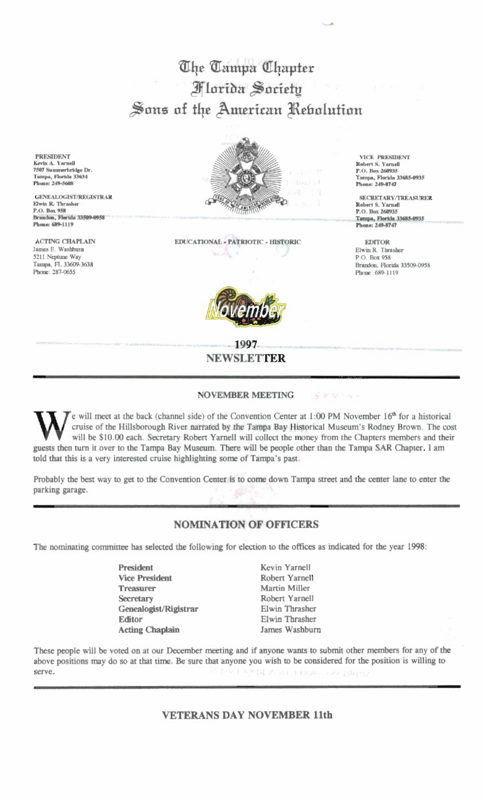The Tampa Chapter **Florida Society** Sons of the American Rebolution

**PRESIDENT** Kevin A. Yarnell 7507 Summerbridge Dr.<br>Tampa, Florida 33634 Phone: 249-5608

**GENEALOGIST/REGISTRAR** Elwin R. Thrasher P.O. Box 958 Brandon, Florida 33509-0958 Phone: 689-1119

**ACTING CHAPLAIN** James E. Washburn 5211 Neptune Way Tampa, FL 33609-3638 Phone: 287-0655



EDUCATIONAL - PATRIOTIC - HISTORIC



1997 **NEWSLETTER** 

**NOVEMBER MEETING** 

ドジジャッ

e will meet at the back (channel side) of the Convention Center at 1:00 PM November 16<sup>th</sup> for a historical cruise of the Hillsborough River narrated by the Tampa Bay Historical Museum's Rodney Brown. The cost will be \$10.00 each. Secretary Robert Yarnell will collect the money from the Chapters members and their guests then turn it over to the Tampa Bay Museum. There will be people other than the Tampa SAR Chapter. I am told that this is a very interested cruise highlighting some of Tampa's past.

Probably the best way to get to the Convention Center is to come down Tampa street and the center lane to enter the parking garage.

## **NOMINATION OF OFFICERS**

The nominating committee has selected the following for election to the offices as indicated for the year 1998:

- President **Vice President Treasurer** Secretary Genealogist/Rigistrar Editor **Acting Chaplain**
- Kevin Yarnell Robert Yarnell Martin Miller Robert Yarnell Elwin Thrasher Elwin Thrasher James Washburn

These people will be voted on at our December meeting and if anyone wants to submit other members for any of the above positions may do so at that time. Be sure that anyone you wish to be considered for the position is willing to 「同之の」中国語 () み () serve.

**VETERANS DAY NOVEMBER 11th** 

**VICE PRESIDENT** Robert S. Yarnell P.O. Box 260935 Гатра, Florida 33685-0935 Phone: 249-8747

SECRETARY/TREASURER Robert S. Yarnell<br>P.O. Box 260935 Tampa, Florida 33685-0935 Phone: 249-8747

**EDITOR** Elwin R. Thrasher P O Rox 958 Brandon, Florida 33509-0958 Phone: 689-1119